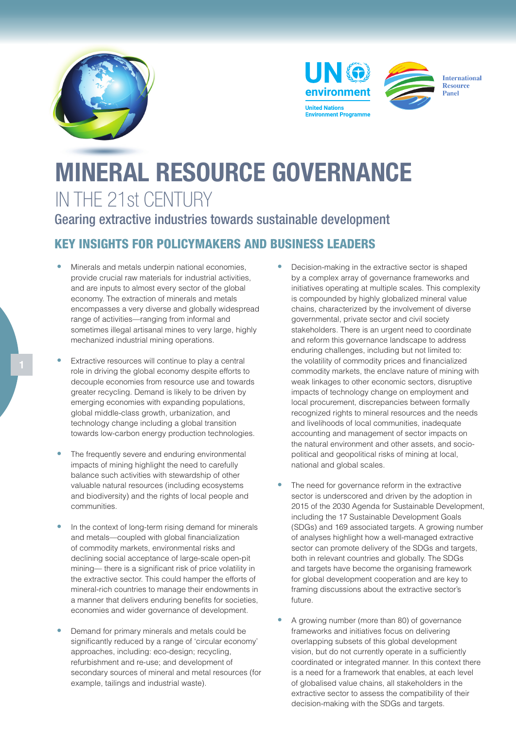





**International** Resource Panel

## MINERAL RESOURCE GOVERNANCE IN THE 21st CENTURY

Gearing extractive industries towards sustainable development

## KEY INSIGHTS FOR POLICYMAKERS AND BUSINESS LEADERS

- Minerals and metals underpin national economies, provide crucial raw materials for industrial activities, and are inputs to almost every sector of the global economy. The extraction of minerals and metals encompasses a very diverse and globally widespread range of activities—ranging from informal and sometimes illegal artisanal mines to very large, highly mechanized industrial mining operations.
- Extractive resources will continue to play a central role in driving the global economy despite efforts to decouple economies from resource use and towards greater recycling. Demand is likely to be driven by emerging economies with expanding populations, global middle-class growth, urbanization, and technology change including a global transition towards low-carbon energy production technologies.
- The frequently severe and enduring environmental impacts of mining highlight the need to carefully balance such activities with stewardship of other valuable natural resources (including ecosystems and biodiversity) and the rights of local people and communities.
- In the context of long-term rising demand for minerals and metals—coupled with global financialization of commodity markets, environmental risks and declining social acceptance of large-scale open-pit mining— there is a significant risk of price volatility in the extractive sector. This could hamper the efforts of mineral-rich countries to manage their endowments in a manner that delivers enduring benefits for societies, economies and wider governance of development.
- Demand for primary minerals and metals could be significantly reduced by a range of 'circular economy' approaches, including: eco-design; recycling, refurbishment and re-use; and development of secondary sources of mineral and metal resources (for example, tailings and industrial waste).
- Decision-making in the extractive sector is shaped by a complex array of governance frameworks and initiatives operating at multiple scales. This complexity is compounded by highly globalized mineral value chains, characterized by the involvement of diverse governmental, private sector and civil society stakeholders. There is an urgent need to coordinate and reform this governance landscape to address enduring challenges, including but not limited to: the volatility of commodity prices and financialized commodity markets, the enclave nature of mining with weak linkages to other economic sectors, disruptive impacts of technology change on employment and local procurement, discrepancies between formally recognized rights to mineral resources and the needs and livelihoods of local communities, inadequate accounting and management of sector impacts on the natural environment and other assets, and sociopolitical and geopolitical risks of mining at local, national and global scales.
- The need for governance reform in the extractive sector is underscored and driven by the adoption in 2015 of the 2030 Agenda for Sustainable Development, including the 17 Sustainable Development Goals (SDGs) and 169 associated targets. A growing number of analyses highlight how a well-managed extractive sector can promote delivery of the SDGs and targets, both in relevant countries and globally. The SDGs and targets have become the organising framework for global development cooperation and are key to framing discussions about the extractive sector's future.
- A growing number (more than 80) of governance frameworks and initiatives focus on delivering overlapping subsets of this global development vision, but do not currently operate in a sufficiently coordinated or integrated manner. In this context there is a need for a framework that enables, at each level of globalised value chains, all stakeholders in the extractive sector to assess the compatibility of their decision-making with the SDGs and targets.